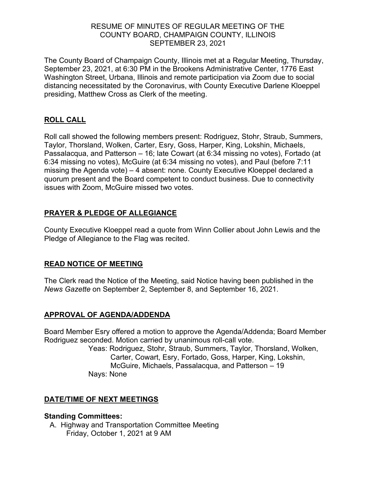### RESUME OF MINUTES OF REGULAR MEETING OF THE COUNTY BOARD, CHAMPAIGN COUNTY, ILLINOIS SEPTEMBER 23, 2021

The County Board of Champaign County, Illinois met at a Regular Meeting, Thursday, September 23, 2021, at 6:30 PM in the Brookens Administrative Center, 1776 East Washington Street, Urbana, Illinois and remote participation via Zoom due to social distancing necessitated by the Coronavirus, with County Executive Darlene Kloeppel presiding, Matthew Cross as Clerk of the meeting.

## **ROLL CALL**

Roll call showed the following members present: Rodriguez, Stohr, Straub, Summers, Taylor, Thorsland, Wolken, Carter, Esry, Goss, Harper, King, Lokshin, Michaels, Passalacqua, and Patterson – 16; late Cowart (at 6:34 missing no votes), Fortado (at 6:34 missing no votes), McGuire (at 6:34 missing no votes), and Paul (before 7:11 missing the Agenda vote) – 4 absent: none. County Executive Kloeppel declared a quorum present and the Board competent to conduct business. Due to connectivity issues with Zoom, McGuire missed two votes.

# **PRAYER & PLEDGE OF ALLEGIANCE**

County Executive Kloeppel read a quote from Winn Collier about John Lewis and the Pledge of Allegiance to the Flag was recited.

## **READ NOTICE OF MEETING**

The Clerk read the Notice of the Meeting, said Notice having been published in the *News Gazette* on September 2, September 8, and September 16, 2021.

## **APPROVAL OF AGENDA/ADDENDA**

Board Member Esry offered a motion to approve the Agenda/Addenda; Board Member Rodriguez seconded. Motion carried by unanimous roll-call vote.

Yeas: Rodriguez, Stohr, Straub, Summers, Taylor, Thorsland, Wolken, Carter, Cowart, Esry, Fortado, Goss, Harper, King, Lokshin, McGuire, Michaels, Passalacqua, and Patterson – 19 Nays: None

## **DATE/TIME OF NEXT MEETINGS**

#### **Standing Committees:**

A. Highway and Transportation Committee Meeting Friday, October 1, 2021 at 9 AM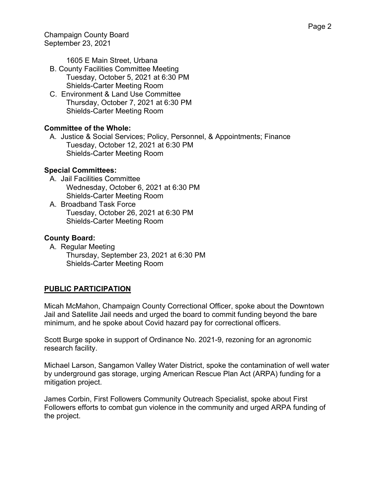1605 E Main Street, Urbana

- B. County Facilities Committee Meeting Tuesday, October 5, 2021 at 6:30 PM Shields-Carter Meeting Room
- C. Environment & Land Use Committee Thursday, October 7, 2021 at 6:30 PM Shields-Carter Meeting Room

# **Committee of the Whole:**

A. Justice & Social Services; Policy, Personnel, & Appointments; Finance Tuesday, October 12, 2021 at 6:30 PM Shields-Carter Meeting Room

# **Special Committees:**

- A. Jail Facilities Committee Wednesday, October 6, 2021 at 6:30 PM Shields-Carter Meeting Room
- A. Broadband Task Force Tuesday, October 26, 2021 at 6:30 PM Shields-Carter Meeting Room

# **County Board:**

A. Regular Meeting Thursday, September 23, 2021 at 6:30 PM Shields-Carter Meeting Room

# **PUBLIC PARTICIPATION**

Micah McMahon, Champaign County Correctional Officer, spoke about the Downtown Jail and Satellite Jail needs and urged the board to commit funding beyond the bare minimum, and he spoke about Covid hazard pay for correctional officers.

Scott Burge spoke in support of Ordinance No. 2021-9, rezoning for an agronomic research facility.

Michael Larson, Sangamon Valley Water District, spoke the contamination of well water by underground gas storage, urging American Rescue Plan Act (ARPA) funding for a mitigation project.

James Corbin, First Followers Community Outreach Specialist, spoke about First Followers efforts to combat gun violence in the community and urged ARPA funding of the project.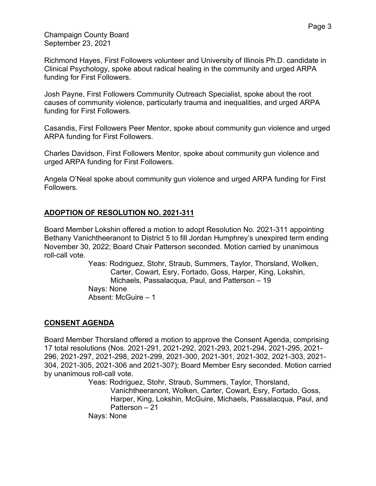Richmond Hayes, First Followers volunteer and University of Illinois Ph.D. candidate in Clinical Psychology, spoke about radical healing in the community and urged ARPA funding for First Followers.

Josh Payne, First Followers Community Outreach Specialist, spoke about the root causes of community violence, particularly trauma and inequalities, and urged ARPA funding for First Followers.

Casandis, First Followers Peer Mentor, spoke about community gun violence and urged ARPA funding for First Followers.

Charles Davidson, First Followers Mentor, spoke about community gun violence and urged ARPA funding for First Followers.

Angela O'Neal spoke about community gun violence and urged ARPA funding for First Followers.

## **ADOPTION OF RESOLUTION NO. 2021-311**

Board Member Lokshin offered a motion to adopt Resolution No. 2021-311 appointing Bethany Vanichtheeranont to District 5 to fill Jordan Humphrey's unexpired term ending November 30, 2022; Board Chair Patterson seconded. Motion carried by unanimous roll-call vote.

> Yeas: Rodriguez, Stohr, Straub, Summers, Taylor, Thorsland, Wolken, Carter, Cowart, Esry, Fortado, Goss, Harper, King, Lokshin, Michaels, Passalacqua, Paul, and Patterson – 19 Nays: None Absent: McGuire – 1

#### **CONSENT AGENDA**

Board Member Thorsland offered a motion to approve the Consent Agenda, comprising 17 total resolutions (Nos. 2021-291, 2021-292, 2021-293, 2021-294, 2021-295, 2021- 296, 2021-297, 2021-298, 2021-299, 2021-300, 2021-301, 2021-302, 2021-303, 2021- 304, 2021-305, 2021-306 and 2021-307); Board Member Esry seconded. Motion carried by unanimous roll-call vote.

> Yeas: Rodriguez, Stohr, Straub, Summers, Taylor, Thorsland, Vanichtheeranont, Wolken, Carter, Cowart, Esry, Fortado, Goss, Harper, King, Lokshin, McGuire, Michaels, Passalacqua, Paul, and Patterson – 21 Nays: None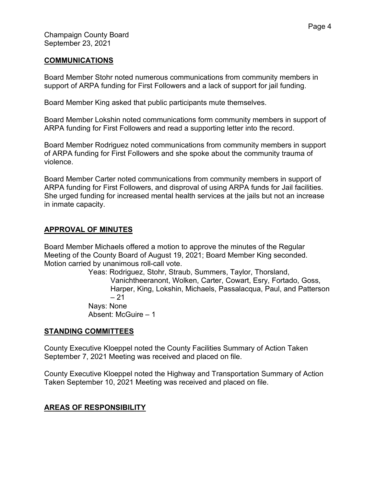#### **COMMUNICATIONS**

Board Member Stohr noted numerous communications from community members in support of ARPA funding for First Followers and a lack of support for jail funding.

Board Member King asked that public participants mute themselves.

Board Member Lokshin noted communications form community members in support of ARPA funding for First Followers and read a supporting letter into the record.

Board Member Rodriguez noted communications from community members in support of ARPA funding for First Followers and she spoke about the community trauma of violence.

Board Member Carter noted communications from community members in support of ARPA funding for First Followers, and disproval of using ARPA funds for Jail facilities. She urged funding for increased mental health services at the jails but not an increase in inmate capacity.

### **APPROVAL OF MINUTES**

Board Member Michaels offered a motion to approve the minutes of the Regular Meeting of the County Board of August 19, 2021; Board Member King seconded. Motion carried by unanimous roll-call vote.

> Yeas: Rodriguez, Stohr, Straub, Summers, Taylor, Thorsland, Vanichtheeranont, Wolken, Carter, Cowart, Esry, Fortado, Goss, Harper, King, Lokshin, Michaels, Passalacqua, Paul, and Patterson  $-21$ Nays: None Absent: McGuire – 1

#### **STANDING COMMITTEES**

County Executive Kloeppel noted the County Facilities Summary of Action Taken September 7, 2021 Meeting was received and placed on file.

County Executive Kloeppel noted the Highway and Transportation Summary of Action Taken September 10, 2021 Meeting was received and placed on file.

## **AREAS OF RESPONSIBILITY**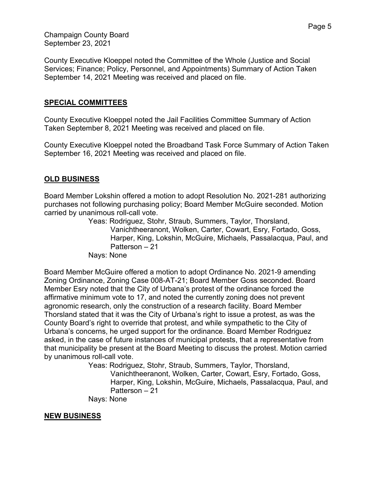County Executive Kloeppel noted the Committee of the Whole (Justice and Social Services; Finance; Policy, Personnel, and Appointments) Summary of Action Taken September 14, 2021 Meeting was received and placed on file.

### **SPECIAL COMMITTEES**

County Executive Kloeppel noted the Jail Facilities Committee Summary of Action Taken September 8, 2021 Meeting was received and placed on file.

County Executive Kloeppel noted the Broadband Task Force Summary of Action Taken September 16, 2021 Meeting was received and placed on file.

### **OLD BUSINESS**

Board Member Lokshin offered a motion to adopt Resolution No. 2021-281 authorizing purchases not following purchasing policy; Board Member McGuire seconded. Motion carried by unanimous roll-call vote.

Yeas: Rodriguez, Stohr, Straub, Summers, Taylor, Thorsland, Vanichtheeranont, Wolken, Carter, Cowart, Esry, Fortado, Goss, Harper, King, Lokshin, McGuire, Michaels, Passalacqua, Paul, and Patterson – 21

Nays: None

Board Member McGuire offered a motion to adopt Ordinance No. 2021-9 amending Zoning Ordinance, Zoning Case 008-AT-21; Board Member Goss seconded. Board Member Esry noted that the City of Urbana's protest of the ordinance forced the affirmative minimum vote to 17, and noted the currently zoning does not prevent agronomic research, only the construction of a research facility. Board Member Thorsland stated that it was the City of Urbana's right to issue a protest, as was the County Board's right to override that protest, and while sympathetic to the City of Urbana's concerns, he urged support for the ordinance. Board Member Rodriguez asked, in the case of future instances of municipal protests, that a representative from that municipality be present at the Board Meeting to discuss the protest. Motion carried by unanimous roll-call vote.

Yeas: Rodriguez, Stohr, Straub, Summers, Taylor, Thorsland, Vanichtheeranont, Wolken, Carter, Cowart, Esry, Fortado, Goss, Harper, King, Lokshin, McGuire, Michaels, Passalacqua, Paul, and Patterson – 21

Nays: None

#### **NEW BUSINESS**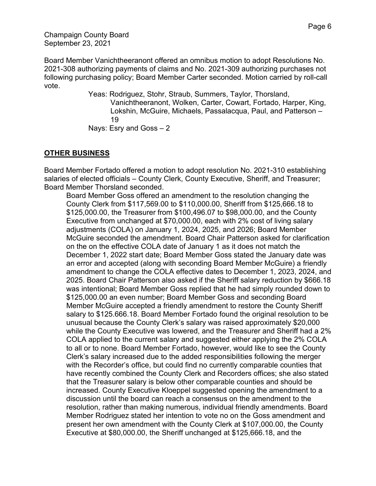Board Member Vanichtheeranont offered an omnibus motion to adopt Resolutions No. 2021-308 authorizing payments of claims and No. 2021-309 authorizing purchases not following purchasing policy; Board Member Carter seconded. Motion carried by roll-call vote.

> Yeas: Rodriguez, Stohr, Straub, Summers, Taylor, Thorsland, Vanichtheeranont, Wolken, Carter, Cowart, Fortado, Harper, King, Lokshin, McGuire, Michaels, Passalacqua, Paul, and Patterson – 19

Nays: Esry and Goss – 2

# **OTHER BUSINESS**

Board Member Fortado offered a motion to adopt resolution No. 2021-310 establishing salaries of elected officials – County Clerk, County Executive, Sheriff, and Treasurer; Board Member Thorsland seconded.

Board Member Goss offered an amendment to the resolution changing the County Clerk from \$117,569.00 to \$110,000.00, Sheriff from \$125,666.18 to \$125,000.00, the Treasurer from \$100,496.07 to \$98,000.00, and the County Executive from unchanged at \$70,000.00, each with 2% cost of living salary adjustments (COLA) on January 1, 2024, 2025, and 2026; Board Member McGuire seconded the amendment. Board Chair Patterson asked for clarification on the on the effective COLA date of January 1 as it does not match the December 1, 2022 start date; Board Member Goss stated the January date was an error and accepted (along with seconding Board Member McGuire) a friendly amendment to change the COLA effective dates to December 1, 2023, 2024, and 2025. Board Chair Patterson also asked if the Sheriff salary reduction by \$666.18 was intentional; Board Member Goss replied that he had simply rounded down to \$125,000.00 an even number; Board Member Goss and seconding Board Member McGuire accepted a friendly amendment to restore the County Sheriff salary to \$125.666.18. Board Member Fortado found the original resolution to be unusual because the County Clerk's salary was raised approximately \$20,000 while the County Executive was lowered, and the Treasurer and Sheriff had a 2% COLA applied to the current salary and suggested either applying the 2% COLA to all or to none. Board Member Fortado, however, would like to see the County Clerk's salary increased due to the added responsibilities following the merger with the Recorder's office, but could find no currently comparable counties that have recently combined the County Clerk and Recorders offices; she also stated that the Treasurer salary is below other comparable counties and should be increased. County Executive Kloeppel suggested opening the amendment to a discussion until the board can reach a consensus on the amendment to the resolution, rather than making numerous, individual friendly amendments. Board Member Rodriguez stated her intention to vote no on the Goss amendment and present her own amendment with the County Clerk at \$107,000.00, the County Executive at \$80,000.00, the Sheriff unchanged at \$125,666.18, and the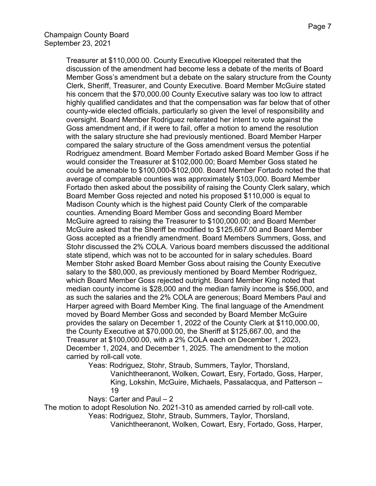Treasurer at \$110,000.00. County Executive Kloeppel reiterated that the discussion of the amendment had become less a debate of the merits of Board Member Goss's amendment but a debate on the salary structure from the County Clerk, Sheriff, Treasurer, and County Executive. Board Member McGuire stated his concern that the \$70,000.00 County Executive salary was too low to attract highly qualified candidates and that the compensation was far below that of other county-wide elected officials, particularly so given the level of responsibility and oversight. Board Member Rodriguez reiterated her intent to vote against the Goss amendment and, if it were to fail, offer a motion to amend the resolution with the salary structure she had previously mentioned. Board Member Harper compared the salary structure of the Goss amendment versus the potential Rodriguez amendment. Board Member Fortado asked Board Member Goss if he would consider the Treasurer at \$102,000.00; Board Member Goss stated he could be amenable to \$100,000-\$102,000. Board Member Fortado noted the that average of comparable counties was approximately \$103,000. Board Member Fortado then asked about the possibility of raising the County Clerk salary, which Board Member Goss rejected and noted his proposed \$110,000 is equal to Madison County which is the highest paid County Clerk of the comparable counties. Amending Board Member Goss and seconding Board Member McGuire agreed to raising the Treasurer to \$100,000.00; and Board Member McGuire asked that the Sheriff be modified to \$125,667.00 and Board Member Goss accepted as a friendly amendment. Board Members Summers, Goss, and Stohr discussed the 2% COLA. Various board members discussed the additional state stipend, which was not to be accounted for in salary schedules. Board Member Stohr asked Board Member Goss about raising the County Executive salary to the \$80,000, as previously mentioned by Board Member Rodriguez, which Board Member Goss rejected outright. Board Member King noted that median county income is \$28,000 and the median family income is \$56,000, and as such the salaries and the 2% COLA are generous; Board Members Paul and Harper agreed with Board Member King. The final language of the Amendment moved by Board Member Goss and seconded by Board Member McGuire provides the salary on December 1, 2022 of the County Clerk at \$110,000.00, the County Executive at \$70,000.00, the Sheriff at \$125,667.00, and the Treasurer at \$100,000.00, with a 2% COLA each on December 1, 2023, December 1, 2024, and December 1, 2025. The amendment to the motion carried by roll-call vote.

Yeas: Rodriguez, Stohr, Straub, Summers, Taylor, Thorsland, Vanichtheeranont, Wolken, Cowart, Esry, Fortado, Goss, Harper, King, Lokshin, McGuire, Michaels, Passalacqua, and Patterson – 19

Nays: Carter and Paul – 2

The motion to adopt Resolution No. 2021-310 as amended carried by roll-call vote.

Yeas: Rodriguez, Stohr, Straub, Summers, Taylor, Thorsland,

Vanichtheeranont, Wolken, Cowart, Esry, Fortado, Goss, Harper,